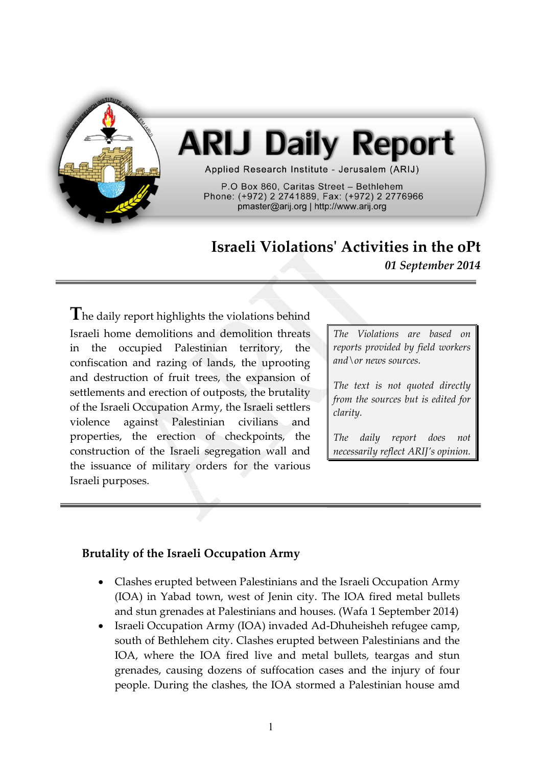

# **ARIJ Daily Report**

Applied Research Institute - Jerusalem (ARIJ)

P.O Box 860. Caritas Street - Bethlehem Phone: (+972) 2 2741889, Fax: (+972) 2 2776966 pmaster@arij.org | http://www.arij.org

## **Israeli Violations' Activities in the oPt**

*01 September 2014*

**T**he daily report highlights the violations behind Israeli home demolitions and demolition threats in the occupied Palestinian territory, the confiscation and razing of lands, the uprooting and destruction of fruit trees, the expansion of settlements and erection of outposts, the brutality of the Israeli Occupation Army, the Israeli settlers violence against Palestinian civilians and properties, the erection of checkpoints, the construction of the Israeli segregation wall and the issuance of military orders for the various Israeli purposes.

*The Violations are based on reports provided by field workers and\or news sources.*

*The text is not quoted directly from the sources but is edited for clarity.*

*The daily report does not necessarily reflect ARIJ's opinion.*

#### **Brutality of the Israeli Occupation Army**

- Clashes erupted between Palestinians and the Israeli Occupation Army (IOA) in Yabad town, west of Jenin city. The IOA fired metal bullets and stun grenades at Palestinians and houses. (Wafa 1 September 2014)
- Israeli Occupation Army (IOA) invaded Ad-Dhuheisheh refugee camp, south of Bethlehem city. Clashes erupted between Palestinians and the IOA, where the IOA fired live and metal bullets, teargas and stun grenades, causing dozens of suffocation cases and the injury of four people. During the clashes, the IOA stormed a Palestinian house amd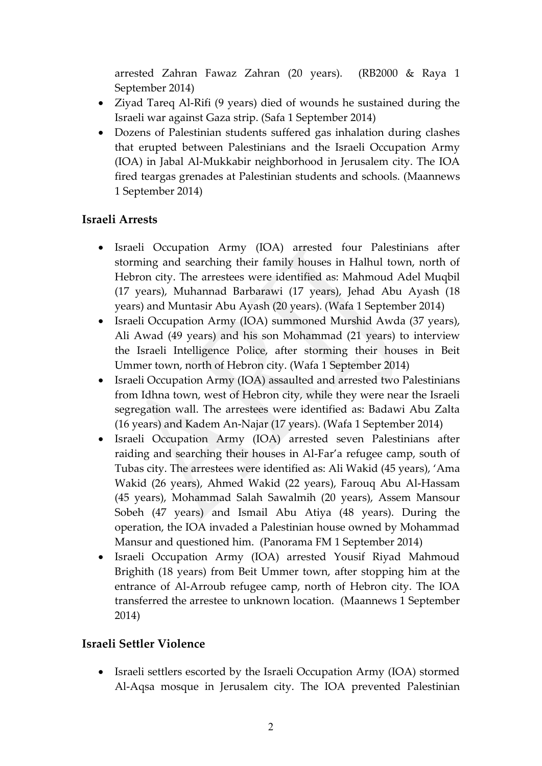arrested Zahran Fawaz Zahran (20 years). (RB2000 & Raya 1 September 2014)

- Ziyad Tareq Al-Rifi (9 years) died of wounds he sustained during the Israeli war against Gaza strip. (Safa 1 September 2014)
- Dozens of Palestinian students suffered gas inhalation during clashes that erupted between Palestinians and the Israeli Occupation Army (IOA) in Jabal Al-Mukkabir neighborhood in Jerusalem city. The IOA fired teargas grenades at Palestinian students and schools. (Maannews 1 September 2014)

### **Israeli Arrests**

- Israeli Occupation Army (IOA) arrested four Palestinians after storming and searching their family houses in Halhul town, north of Hebron city. The arrestees were identified as: Mahmoud Adel Muqbil (17 years), Muhannad Barbarawi (17 years), Jehad Abu Ayash (18 years) and Muntasir Abu Ayash (20 years). (Wafa 1 September 2014)
- Israeli Occupation Army (IOA) summoned Murshid Awda (37 years), Ali Awad (49 years) and his son Mohammad (21 years) to interview the Israeli Intelligence Police, after storming their houses in Beit Ummer town, north of Hebron city. (Wafa 1 September 2014)
- Israeli Occupation Army (IOA) assaulted and arrested two Palestinians from Idhna town, west of Hebron city, while they were near the Israeli segregation wall. The arrestees were identified as: Badawi Abu Zalta (16 years) and Kadem An-Najar (17 years). (Wafa 1 September 2014)
- Israeli Occupation Army (IOA) arrested seven Palestinians after raiding and searching their houses in Al-Far'a refugee camp, south of Tubas city. The arrestees were identified as: Ali Wakid (45 years), 'Ama Wakid (26 years), Ahmed Wakid (22 years), Farouq Abu Al-Hassam (45 years), Mohammad Salah Sawalmih (20 years), Assem Mansour Sobeh (47 years) and Ismail Abu Atiya (48 years). During the operation, the IOA invaded a Palestinian house owned by Mohammad Mansur and questioned him. (Panorama FM 1 September 2014)
- Israeli Occupation Army (IOA) arrested Yousif Riyad Mahmoud Brighith (18 years) from Beit Ummer town, after stopping him at the entrance of Al-Arroub refugee camp, north of Hebron city. The IOA transferred the arrestee to unknown location. (Maannews 1 September 2014)

#### **Israeli Settler Violence**

 Israeli settlers escorted by the Israeli Occupation Army (IOA) stormed Al-Aqsa mosque in Jerusalem city. The IOA prevented Palestinian